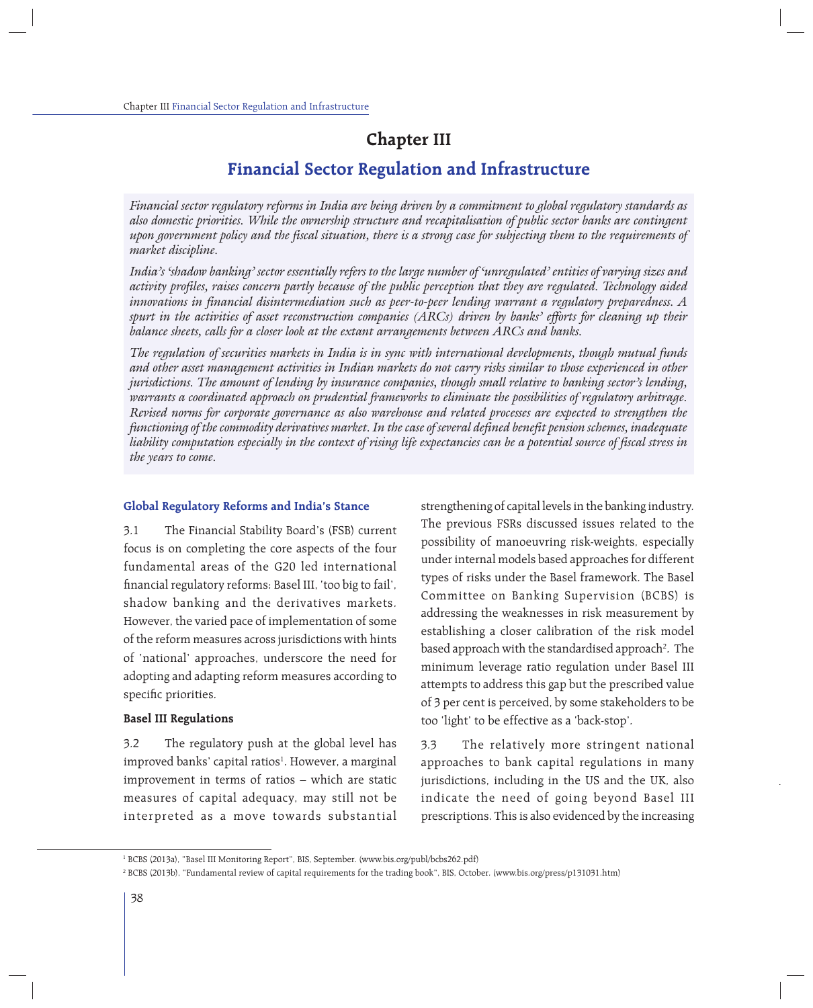# **Chapter III**

# **Financial Sector Regulation and Infrastructure**

*Financial sector regulatory reforms in India are being driven by a commitment to global regulatory standards as also domestic priorities. While the ownership structure and recapitalisation of public sector banks are contingent upon government policy and the fiscal situation, there is a strong case for subjecting them to the requirements of market discipline.*

*India's 'shadow banking' sector essentially refers to the large number of 'unregulated' entities of varying sizes and activity profiles, raises concern partly because of the public perception that they are regulated. Technology aided innovations in financial disintermediation such as peer-to-peer lending warrant a regulatory preparedness. A spurt in the activities of asset reconstruction companies (ARCs) driven by banks' efforts for cleaning up their balance sheets, calls for a closer look at the extant arrangements between ARCs and banks.*

*The regulation of securities markets in India is in sync with international developments, though mutual funds and other asset management activities in Indian markets do not carry risks similar to those experienced in other jurisdictions. The amount of lending by insurance companies, though small relative to banking sector's lending, warrants a coordinated approach on prudential frameworks to eliminate the possibilities of regulatory arbitrage. Revised norms for corporate governance as also warehouse and related processes are expected to strengthen the functioning of the commodity derivatives market. In the case of several defined benefit pension schemes, inadequate liability computation especially in the context of rising life expectancies can be a potential source of fiscal stress in the years to come.*

#### **Global Regulatory Reforms and India's Stance**

3.1 The Financial Stability Board's (FSB) current focus is on completing the core aspects of the four fundamental areas of the G20 led international financial regulatory reforms: Basel III, 'too big to fail', shadow banking and the derivatives markets. However, the varied pace of implementation of some of the reform measures across jurisdictions with hints of 'national' approaches, underscore the need for adopting and adapting reform measures according to specific priorities.

#### **Basel III Regulations**

3.2 The regulatory push at the global level has improved banks' capital ratios<sup>1</sup>. However, a marginal improvement in terms of ratios – which are static measures of capital adequacy, may still not be interpreted as a move towards substantial strengthening of capital levels in the banking industry. The previous FSRs discussed issues related to the possibility of manoeuvring risk-weights, especially under internal models based approaches for different types of risks under the Basel framework. The Basel Committee on Banking Supervision (BCBS) is addressing the weaknesses in risk measurement by establishing a closer calibration of the risk model based approach with the standardised approach<sup>2</sup>. The minimum leverage ratio regulation under Basel III attempts to address this gap but the prescribed value of 3 per cent is perceived, by some stakeholders to be too 'light' to be effective as a 'back-stop'.

3.3 The relatively more stringent national approaches to bank capital regulations in many jurisdictions, including in the US and the UK, also indicate the need of going beyond Basel III prescriptions. This is also evidenced by the increasing

<sup>1</sup> BCBS (2013a), "Basel III Monitoring Report", BIS, September. (www.bis.org/publ/bcbs262.pdf)

<sup>2</sup> BCBS (2013b), "Fundamental review of capital requirements for the trading book", BIS, October. (www.bis.org/press/p131031.htm)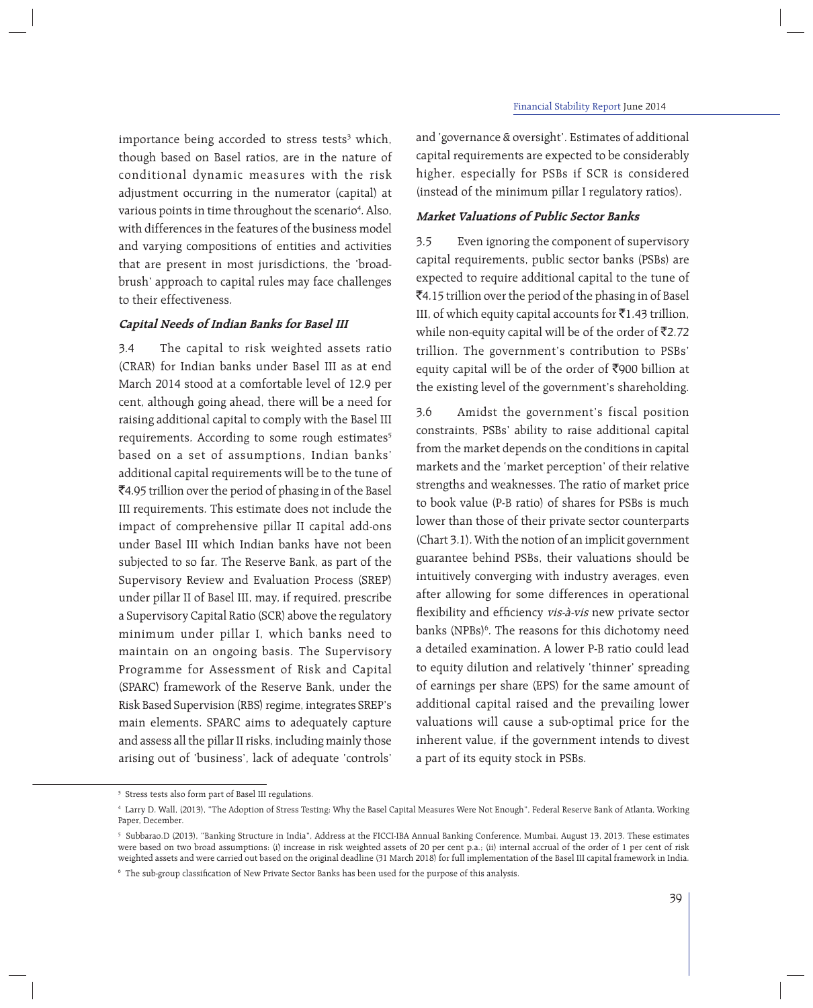importance being accorded to stress tests<sup>3</sup> which, though based on Basel ratios, are in the nature of conditional dynamic measures with the risk adjustment occurring in the numerator (capital) at various points in time throughout the scenario<sup>4</sup>. Also, with differences in the features of the business model and varying compositions of entities and activities that are present in most jurisdictions, the 'broadbrush' approach to capital rules may face challenges to their effectiveness.

# **Capital Needs of Indian Banks for Basel III**

3.4 The capital to risk weighted assets ratio (CRAR) for Indian banks under Basel III as at end March 2014 stood at a comfortable level of 12.9 per cent, although going ahead, there will be a need for raising additional capital to comply with the Basel III requirements. According to some rough estimates<sup>5</sup> based on a set of assumptions, Indian banks' additional capital requirements will be to the tune of `4.95 trillion over the period of phasing in of the Basel III requirements. This estimate does not include the impact of comprehensive pillar II capital add-ons under Basel III which Indian banks have not been subjected to so far. The Reserve Bank, as part of the Supervisory Review and Evaluation Process (SREP) under pillar II of Basel III, may, if required, prescribe a Supervisory Capital Ratio (SCR) above the regulatory minimum under pillar I, which banks need to maintain on an ongoing basis. The Supervisory Programme for Assessment of Risk and Capital (SPARC) framework of the Reserve Bank, under the Risk Based Supervision (RBS) regime, integrates SREP's main elements. SPARC aims to adequately capture and assess all the pillar II risks, including mainly those arising out of 'business', lack of adequate 'controls'

and 'governance & oversight'. Estimates of additional capital requirements are expected to be considerably higher, especially for PSBs if SCR is considered (instead of the minimum pillar I regulatory ratios).

# **Market Valuations of Public Sector Banks**

3.5 Even ignoring the component of supervisory capital requirements, public sector banks (PSBs) are expected to require additional capital to the tune of `4.15 trillion over the period of the phasing in of Basel III, of which equity capital accounts for  $\bar{z}$ 1.43 trillion, while non-equity capital will be of the order of  $\bar{\tau}$ 2.72 trillion. The government's contribution to PSBs' equity capital will be of the order of  $\overline{5}900$  billion at the existing level of the government's shareholding.

3.6 Amidst the government's fiscal position constraints, PSBs' ability to raise additional capital from the market depends on the conditions in capital markets and the 'market perception' of their relative strengths and weaknesses. The ratio of market price to book value (P-B ratio) of shares for PSBs is much lower than those of their private sector counterparts (Chart 3.1). With the notion of an implicit government guarantee behind PSBs, their valuations should be intuitively converging with industry averages, even after allowing for some differences in operational flexibility and efficiency vis-à-vis new private sector banks (NPBs)<sup>6</sup>. The reasons for this dichotomy need a detailed examination. A lower P-B ratio could lead to equity dilution and relatively 'thinner' spreading of earnings per share (EPS) for the same amount of additional capital raised and the prevailing lower valuations will cause a sub-optimal price for the inherent value, if the government intends to divest a part of its equity stock in PSBs.

<sup>3</sup> Stress tests also form part of Basel III regulations.

<sup>4</sup> Larry D. Wall, (2013), "The Adoption of Stress Testing: Why the Basel Capital Measures Were Not Enough", Federal Reserve Bank of Atlanta, Working Paper, December.

<sup>5</sup> Subbarao.D (2013), "Banking Structure in India", Address at the FICCI-IBA Annual Banking Conference, Mumbai, August 13, 2013. These estimates were based on two broad assumptions: (i) increase in risk weighted assets of 20 per cent p.a.; (ii) internal accrual of the order of 1 per cent of risk weighted assets and were carried out based on the original deadline (31 March 2018) for full implementation of the Basel III capital framework in India.

 $^{\rm 6}$  The sub-group classification of New Private Sector Banks has been used for the purpose of this analysis.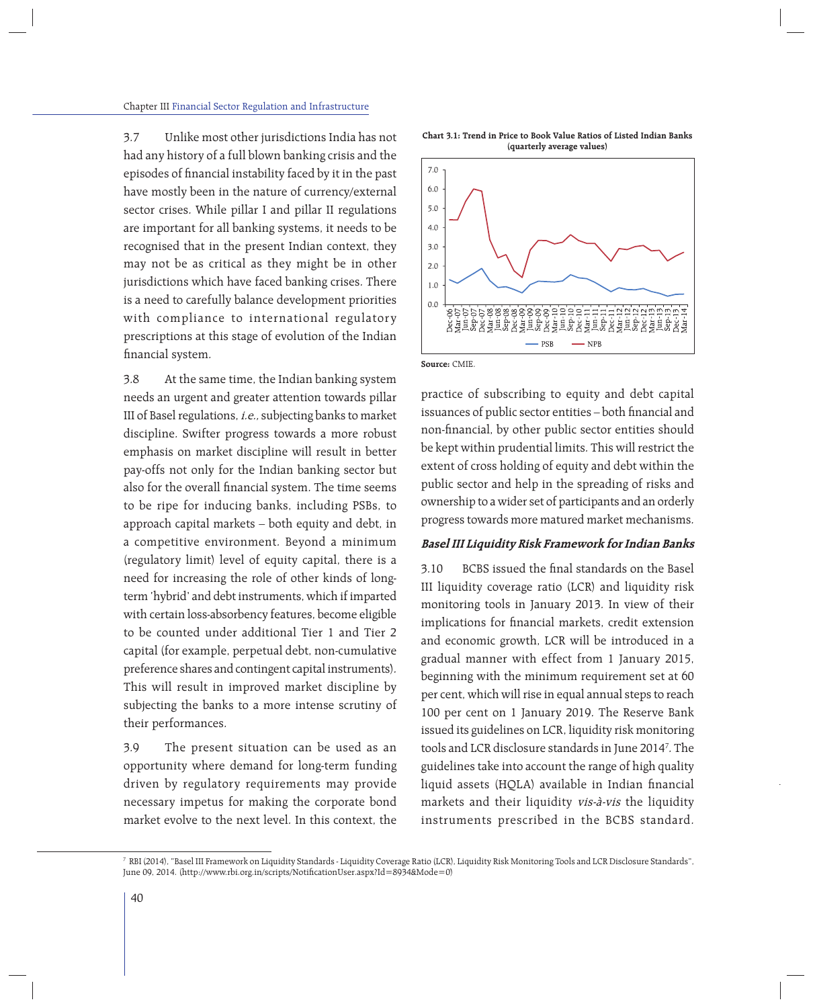3.7 Unlike most other jurisdictions India has not had any history of a full blown banking crisis and the episodes of financial instability faced by it in the past have mostly been in the nature of currency/external sector crises. While pillar I and pillar II regulations are important for all banking systems, it needs to be recognised that in the present Indian context, they may not be as critical as they might be in other jurisdictions which have faced banking crises. There is a need to carefully balance development priorities with compliance to international regulatory prescriptions at this stage of evolution of the Indian financial system.

3.8 At the same time, the Indian banking system needs an urgent and greater attention towards pillar III of Basel regulations, i.e., subjecting banks to market discipline. Swifter progress towards a more robust emphasis on market discipline will result in better pay-offs not only for the Indian banking sector but also for the overall financial system. The time seems to be ripe for inducing banks, including PSBs, to approach capital markets – both equity and debt, in a competitive environment. Beyond a minimum (regulatory limit) level of equity capital, there is a need for increasing the role of other kinds of longterm 'hybrid' and debt instruments, which if imparted with certain loss-absorbency features, become eligible to be counted under additional Tier 1 and Tier 2 capital (for example, perpetual debt, non-cumulative preference shares and contingent capital instruments). This will result in improved market discipline by subjecting the banks to a more intense scrutiny of their performances.

3.9 The present situation can be used as an opportunity where demand for long-term funding driven by regulatory requirements may provide necessary impetus for making the corporate bond market evolve to the next level. In this context, the

**Chart 3.1: Trend in Price to Book Value Ratios of Listed Indian Banks (quarterly average values)**



**Source:** CMIE.

practice of subscribing to equity and debt capital issuances of public sector entities – both financial and non-financial, by other public sector entities should be kept within prudential limits. This will restrict the extent of cross holding of equity and debt within the public sector and help in the spreading of risks and ownership to a wider set of participants and an orderly progress towards more matured market mechanisms.

# **Basel III Liquidity Risk Framework for Indian Banks**

3.10 BCBS issued the final standards on the Basel III liquidity coverage ratio (LCR) and liquidity risk monitoring tools in January 2013. In view of their implications for financial markets, credit extension and economic growth, LCR will be introduced in a gradual manner with effect from 1 January 2015, beginning with the minimum requirement set at 60 per cent, which will rise in equal annual steps to reach 100 per cent on 1 January 2019. The Reserve Bank issued its guidelines on LCR, liquidity risk monitoring tools and LCR disclosure standards in June 20147 . The guidelines take into account the range of high quality liquid assets (HQLA) available in Indian financial markets and their liquidity vis-à-vis the liquidity instruments prescribed in the BCBS standard.

<sup>7</sup> RBI (2014), "Basel III Framework on Liquidity Standards - Liquidity Coverage Ratio (LCR), Liquidity Risk Monitoring Tools and LCR Disclosure Standards", June 09, 2014. (http://www.rbi.org.in/scripts/NotificationUser.aspx?Id=8934&Mode=0)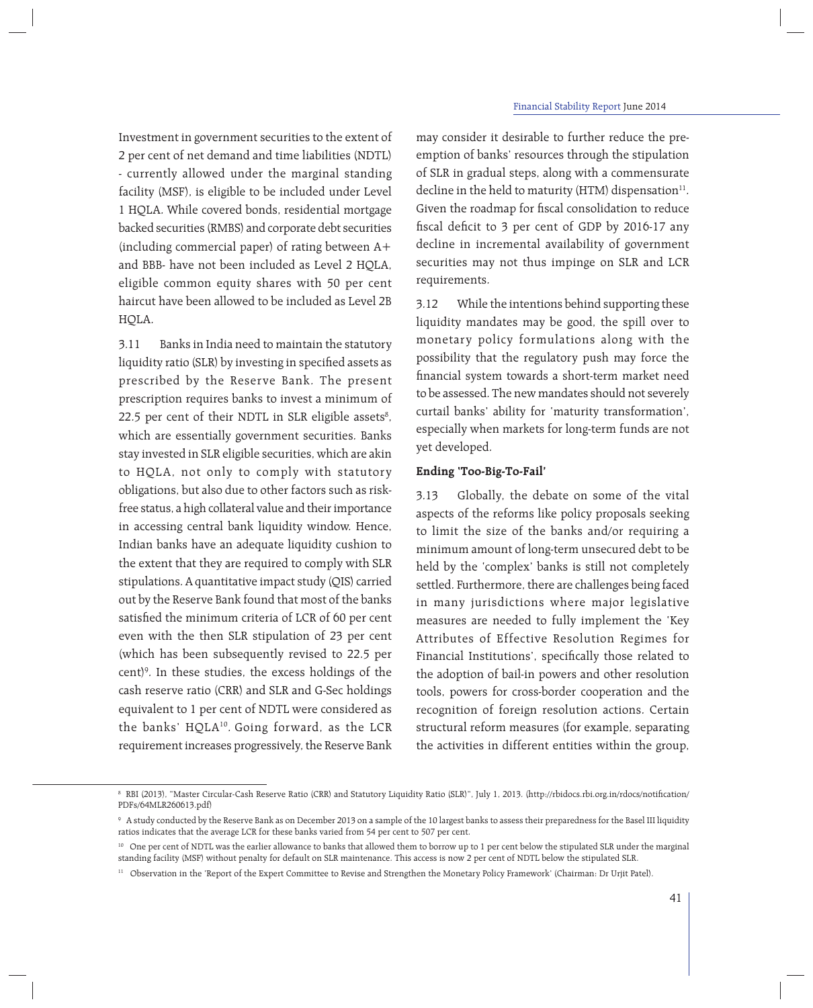Investment in government securities to the extent of 2 per cent of net demand and time liabilities (NDTL) - currently allowed under the marginal standing facility (MSF), is eligible to be included under Level 1 HQLA. While covered bonds, residential mortgage backed securities (RMBS) and corporate debt securities (including commercial paper) of rating between A+ and BBB- have not been included as Level 2 HQLA, eligible common equity shares with 50 per cent haircut have been allowed to be included as Level 2B HQLA.

3.11 Banks in India need to maintain the statutory liquidity ratio (SLR) by investing in specified assets as prescribed by the Reserve Bank. The present prescription requires banks to invest a minimum of 22.5 per cent of their NDTL in SLR eligible assets $^{\rm 8}$ , which are essentially government securities. Banks stay invested in SLR eligible securities, which are akin to HQLA, not only to comply with statutory obligations, but also due to other factors such as riskfree status, a high collateral value and their importance in accessing central bank liquidity window. Hence, Indian banks have an adequate liquidity cushion to the extent that they are required to comply with SLR stipulations. A quantitative impact study (QIS) carried out by the Reserve Bank found that most of the banks satisfied the minimum criteria of LCR of 60 per cent even with the then SLR stipulation of 23 per cent (which has been subsequently revised to 22.5 per cent)9 . In these studies, the excess holdings of the cash reserve ratio (CRR) and SLR and G-Sec holdings equivalent to 1 per cent of NDTL were considered as the banks' HQLA10. Going forward, as the LCR requirement increases progressively, the Reserve Bank may consider it desirable to further reduce the preemption of banks' resources through the stipulation of SLR in gradual steps, along with a commensurate decline in the held to maturity (HTM) dispensation $^{11}$ . Given the roadmap for fiscal consolidation to reduce fiscal deficit to  $3$  per cent of GDP by 2016-17 any decline in incremental availability of government securities may not thus impinge on SLR and LCR requirements.

3.12 While the intentions behind supporting these liquidity mandates may be good, the spill over to monetary policy formulations along with the possibility that the regulatory push may force the financial system towards a short-term market need to be assessed. The new mandates should not severely curtail banks' ability for 'maturity transformation', especially when markets for long-term funds are not yet developed.

# **Ending 'Too-Big-To-Fail'**

3.13 Globally, the debate on some of the vital aspects of the reforms like policy proposals seeking to limit the size of the banks and/or requiring a minimum amount of long-term unsecured debt to be held by the 'complex' banks is still not completely settled. Furthermore, there are challenges being faced in many jurisdictions where major legislative measures are needed to fully implement the 'Key Attributes of Effective Resolution Regimes for Financial Institutions', specifically those related to the adoption of bail-in powers and other resolution tools, powers for cross-border cooperation and the recognition of foreign resolution actions. Certain structural reform measures (for example, separating the activities in different entities within the group,

<sup>8</sup> RBI (2013), "Master Circular-Cash Reserve Ratio (CRR) and Statutory Liquidity Ratio (SLR)", July 1, 2013. (http://rbidocs.rbi.org.in/rdocs/notifi cation/ PDFs/64MLR260613.pdf)

 $^{\circ}\,$  A study conducted by the Reserve Bank as on December 2013 on a sample of the 10 largest banks to assess their preparedness for the Basel III liquidity ratios indicates that the average LCR for these banks varied from 54 per cent to 507 per cent.

<sup>&</sup>lt;sup>10</sup> One per cent of NDTL was the earlier allowance to banks that allowed them to borrow up to 1 per cent below the stipulated SLR under the marginal standing facility (MSF) without penalty for default on SLR maintenance. This access is now 2 per cent of NDTL below the stipulated SLR.

<sup>&</sup>lt;sup>11</sup> Observation in the 'Report of the Expert Committee to Revise and Strengthen the Monetary Policy Framework' (Chairman: Dr Urjit Patel).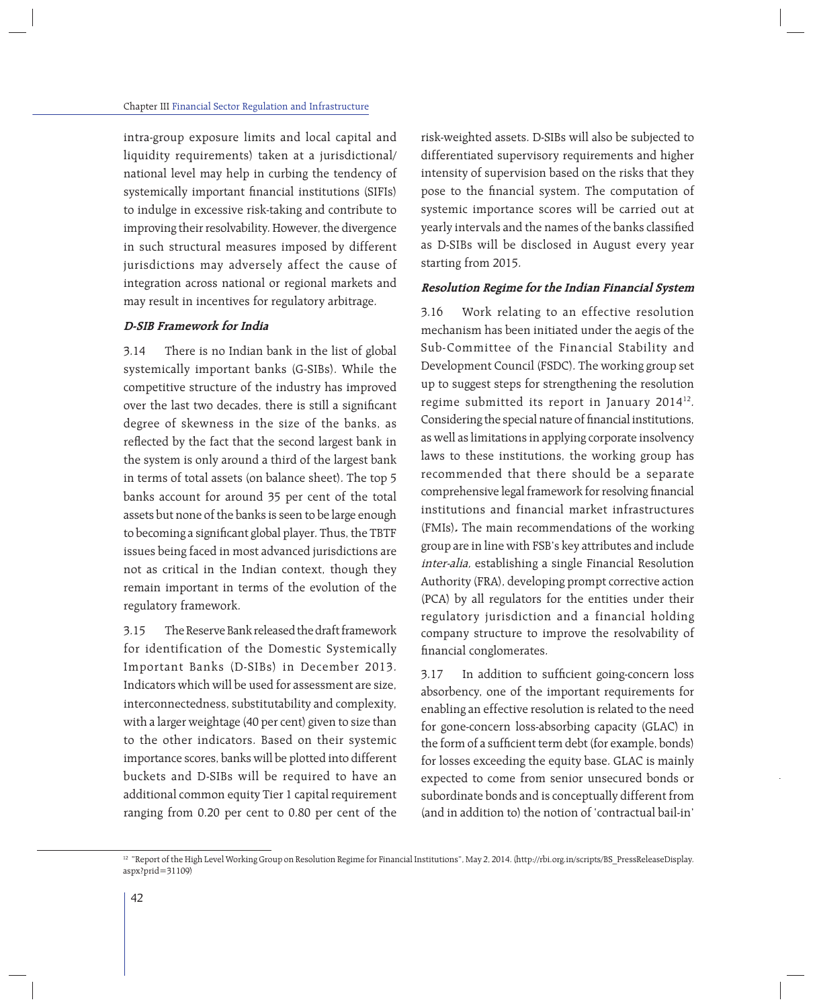intra-group exposure limits and local capital and liquidity requirements) taken at a jurisdictional/ national level may help in curbing the tendency of systemically important financial institutions (SIFIs) to indulge in excessive risk-taking and contribute to improving their resolvability. However, the divergence in such structural measures imposed by different jurisdictions may adversely affect the cause of integration across national or regional markets and may result in incentives for regulatory arbitrage.

# **D-SIB Framework for India**

3.14 There is no Indian bank in the list of global systemically important banks (G-SIBs). While the competitive structure of the industry has improved over the last two decades, there is still a significant degree of skewness in the size of the banks, as reflected by the fact that the second largest bank in the system is only around a third of the largest bank in terms of total assets (on balance sheet). The top 5 banks account for around 35 per cent of the total assets but none of the banks is seen to be large enough to becoming a significant global player. Thus, the TBTF issues being faced in most advanced jurisdictions are not as critical in the Indian context, though they remain important in terms of the evolution of the regulatory framework.

3.15 The Reserve Bank released the draft framework for identification of the Domestic Systemically Important Banks (D-SIBs) in December 2013. Indicators which will be used for assessment are size, interconnectedness, substitutability and complexity, with a larger weightage (40 per cent) given to size than to the other indicators. Based on their systemic importance scores, banks will be plotted into different buckets and D-SIBs will be required to have an additional common equity Tier 1 capital requirement ranging from 0.20 per cent to 0.80 per cent of the risk-weighted assets. D-SIBs will also be subjected to differentiated supervisory requirements and higher intensity of supervision based on the risks that they pose to the financial system. The computation of systemic importance scores will be carried out at yearly intervals and the names of the banks classified as D-SIBs will be disclosed in August every year starting from 2015.

# **Resolution Regime for the Indian Financial System**

3.16 Work relating to an effective resolution mechanism has been initiated under the aegis of the Sub-Committee of the Financial Stability and Development Council (FSDC). The working group set up to suggest steps for strengthening the resolution regime submitted its report in January 2014<sup>12</sup>. Considering the special nature of financial institutions, as well as limitations in applying corporate insolvency laws to these institutions, the working group has recommended that there should be a separate comprehensive legal framework for resolving financial institutions and financial market infrastructures (FMIs)**.** The main recommendations of the working group are in line with FSB's key attributes and include inter-alia, establishing a single Financial Resolution Authority (FRA), developing prompt corrective action (PCA) by all regulators for the entities under their regulatory jurisdiction and a financial holding company structure to improve the resolvability of financial conglomerates.

3.17 In addition to sufficient going-concern loss absorbency, one of the important requirements for enabling an effective resolution is related to the need for gone-concern loss-absorbing capacity (GLAC) in the form of a sufficient term debt (for example, bonds) for losses exceeding the equity base. GLAC is mainly expected to come from senior unsecured bonds or subordinate bonds and is conceptually different from (and in addition to) the notion of 'contractual bail-in'

<sup>&</sup>lt;sup>12</sup> "Report of the High Level Working Group on Resolution Regime for Financial Institutions", May 2, 2014. (http://rbi.org.in/scripts/BS\_PressReleaseDisplay. aspx?prid=31109)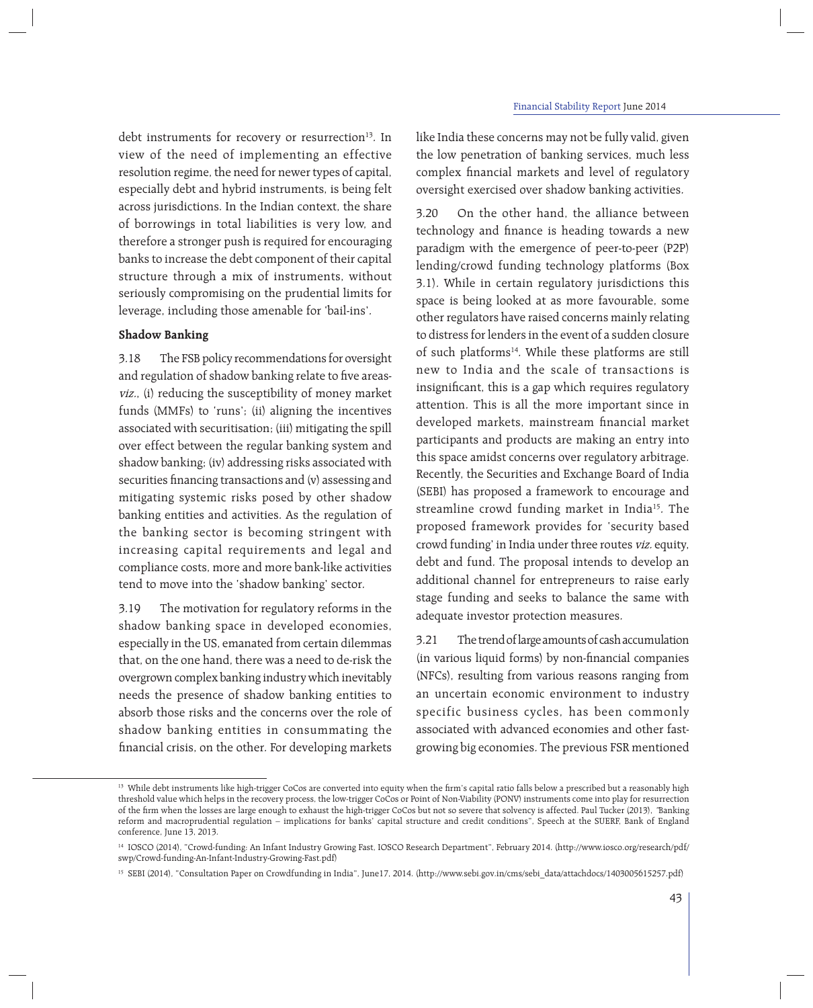debt instruments for recovery or resurrection<sup>13</sup>. In view of the need of implementing an effective resolution regime, the need for newer types of capital, especially debt and hybrid instruments, is being felt across jurisdictions. In the Indian context, the share of borrowings in total liabilities is very low, and therefore a stronger push is required for encouraging banks to increase the debt component of their capital structure through a mix of instruments, without seriously compromising on the prudential limits for leverage, including those amenable for 'bail-ins'.

# **Shadow Banking**

3.18 The FSB policy recommendations for oversight and regulation of shadow banking relate to five areasviz., (i) reducing the susceptibility of money market funds (MMFs) to 'runs'; (ii) aligning the incentives associated with securitisation; (iii) mitigating the spill over effect between the regular banking system and shadow banking; (iv) addressing risks associated with securities financing transactions and (v) assessing and mitigating systemic risks posed by other shadow banking entities and activities. As the regulation of the banking sector is becoming stringent with increasing capital requirements and legal and compliance costs, more and more bank-like activities tend to move into the 'shadow banking' sector.

3.19 The motivation for regulatory reforms in the shadow banking space in developed economies, especially in the US, emanated from certain dilemmas that, on the one hand, there was a need to de-risk the overgrown complex banking industry which inevitably needs the presence of shadow banking entities to absorb those risks and the concerns over the role of shadow banking entities in consummating the financial crisis, on the other. For developing markets

like India these concerns may not be fully valid, given the low penetration of banking services, much less complex financial markets and level of regulatory oversight exercised over shadow banking activities.

3.20 On the other hand, the alliance between technology and finance is heading towards a new paradigm with the emergence of peer-to-peer (P2P) lending/crowd funding technology platforms (Box 3.1). While in certain regulatory jurisdictions this space is being looked at as more favourable, some other regulators have raised concerns mainly relating to distress for lenders in the event of a sudden closure of such platforms<sup>14</sup>. While these platforms are still new to India and the scale of transactions is insignificant, this is a gap which requires regulatory attention. This is all the more important since in developed markets, mainstream financial market participants and products are making an entry into this space amidst concerns over regulatory arbitrage. Recently, the Securities and Exchange Board of India (SEBI) has proposed a framework to encourage and streamline crowd funding market in India<sup>15</sup>. The proposed framework provides for 'security based crowd funding' in India under three routes viz. equity, debt and fund. The proposal intends to develop an additional channel for entrepreneurs to raise early stage funding and seeks to balance the same with adequate investor protection measures.

3.21 The trend of large amounts of cash accumulation (in various liquid forms) by non-financial companies (NFCs), resulting from various reasons ranging from an uncertain economic environment to industry specific business cycles, has been commonly associated with advanced economies and other fastgrowing big economies. The previous FSR mentioned

<sup>&</sup>lt;sup>13</sup> While debt instruments like high-trigger CoCos are converted into equity when the firm's capital ratio falls below a prescribed but a reasonably high threshold value which helps in the recovery process, the low-trigger CoCos or Point of Non-Viability (PONV) instruments come into play for resurrection of the firm when the losses are large enough to exhaust the high-trigger CoCos but not so severe that solvency is affected. Paul Tucker (2013), 'Banking reform and macroprudential regulation – implications for banks' capital structure and credit conditions", Speech at the SUERF, Bank of England conference, June 13, 2013.

<sup>14</sup> IOSCO (2014), "Crowd-funding: An Infant Industry Growing Fast, IOSCO Research Department", February 2014. (http://www.iosco.org/research/pdf/ swp/Crowd-funding-An-Infant-Industry-Growing-Fast.pdf)

<sup>15</sup> SEBI (2014), "Consultation Paper on Crowdfunding in India", June17, 2014. (http://www.sebi.gov.in/cms/sebi\_data/attachdocs/1403005615257.pdf)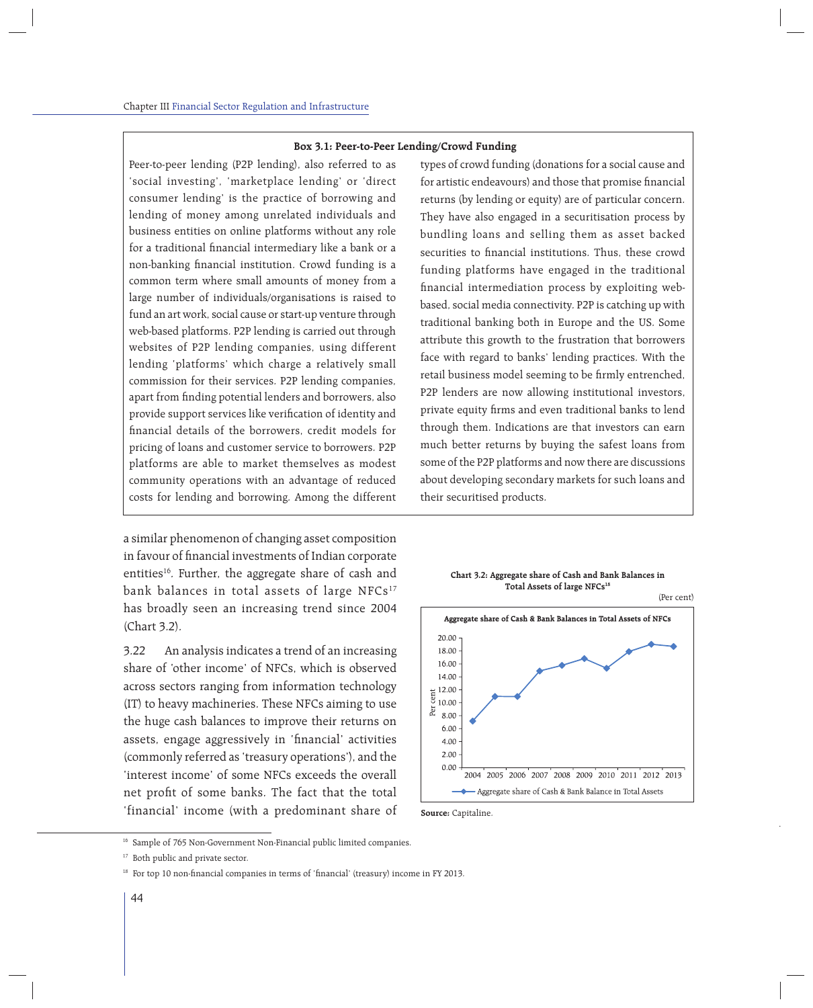#### **Box 3.1: Peer-to-Peer Lending/Crowd Funding**

Peer-to-peer lending (P2P lending), also referred to as 'social investing', 'marketplace lending' or 'direct consumer lending' is the practice of borrowing and lending of money among unrelated individuals and business entities on online platforms without any role for a traditional financial intermediary like a bank or a non-banking financial institution. Crowd funding is a common term where small amounts of money from a large number of individuals/organisations is raised to fund an art work, social cause or start-up venture through web-based platforms. P2P lending is carried out through websites of P2P lending companies, using different lending 'platforms' which charge a relatively small commission for their services. P2P lending companies, apart from finding potential lenders and borrowers, also provide support services like verification of identity and financial details of the borrowers, credit models for pricing of loans and customer service to borrowers. P2P platforms are able to market themselves as modest community operations with an advantage of reduced costs for lending and borrowing. Among the different

a similar phenomenon of changing asset composition in favour of financial investments of Indian corporate entities<sup>16</sup>. Further, the aggregate share of cash and bank balances in total assets of large NFCs<sup>17</sup> has broadly seen an increasing trend since 2004 (Chart 3.2).

3.22 An analysis indicates a trend of an increasing share of 'other income' of NFCs, which is observed across sectors ranging from information technology (IT) to heavy machineries. These NFCs aiming to use the huge cash balances to improve their returns on assets, engage aggressively in 'financial' activities (commonly referred as 'treasury operations'), and the 'interest income' of some NFCs exceeds the overall net profit of some banks. The fact that the total 'financial' income (with a predominant share of

types of crowd funding (donations for a social cause and for artistic endeavours) and those that promise financial returns (by lending or equity) are of particular concern. They have also engaged in a securitisation process by bundling loans and selling them as asset backed securities to financial institutions. Thus, these crowd funding platforms have engaged in the traditional financial intermediation process by exploiting webbased, social media connectivity. P2P is catching up with traditional banking both in Europe and the US. Some attribute this growth to the frustration that borrowers face with regard to banks' lending practices. With the retail business model seeming to be firmly entrenched, P2P lenders are now allowing institutional investors, private equity firms and even traditional banks to lend through them. Indications are that investors can earn much better returns by buying the safest loans from some of the P2P platforms and now there are discussions about developing secondary markets for such loans and their securitised products.







<sup>&</sup>lt;sup>16</sup> Sample of 765 Non-Government Non-Financial public limited companies.

<sup>&</sup>lt;sup>17</sup> Both public and private sector.

<sup>&</sup>lt;sup>18</sup> For top 10 non-financial companies in terms of 'financial' (treasury) income in FY 2013.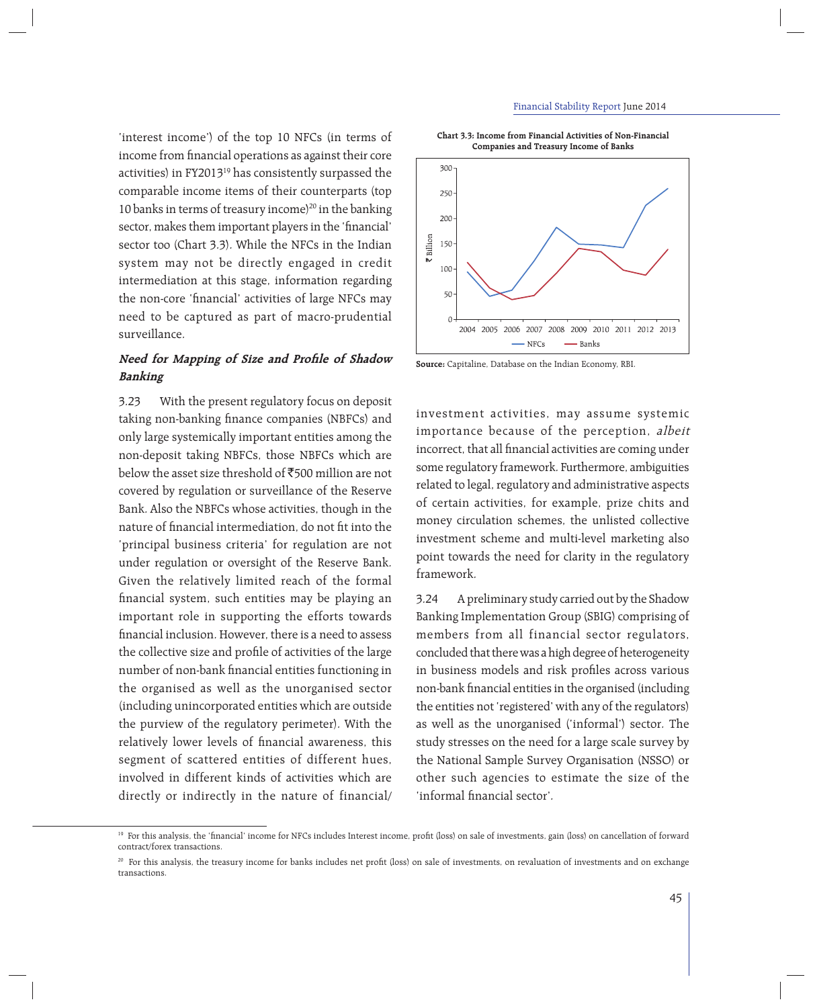'interest income') of the top 10 NFCs (in terms of income from financial operations as against their core activities) in FY201319 has consistently surpassed the comparable income items of their counterparts (top 10 banks in terms of treasury income)<sup>20</sup> in the banking sector, makes them important players in the 'financial' sector too (Chart 3.3). While the NFCs in the Indian system may not be directly engaged in credit intermediation at this stage, information regarding the non-core 'financial' activities of large NFCs may need to be captured as part of macro-prudential surveillance.

# **Need for Mapping of Size and Profile of Shadow Banking**

3.23 With the present regulatory focus on deposit taking non-banking finance companies (NBFCs) and only large systemically important entities among the non-deposit taking NBFCs, those NBFCs which are below the asset size threshold of  $\bar{5}00$  million are not covered by regulation or surveillance of the Reserve Bank. Also the NBFCs whose activities, though in the nature of financial intermediation, do not fit into the 'principal business criteria' for regulation are not under regulation or oversight of the Reserve Bank. Given the relatively limited reach of the formal financial system, such entities may be playing an important role in supporting the efforts towards financial inclusion. However, there is a need to assess the collective size and profile of activities of the large number of non-bank financial entities functioning in the organised as well as the unorganised sector (including unincorporated entities which are outside the purview of the regulatory perimeter). With the relatively lower levels of financial awareness, this segment of scattered entities of different hues, involved in different kinds of activities which are directly or indirectly in the nature of financial/

**Chart 3.3: Income from Financial Activities of Non-Financial Companies and Treasury Income of Banks**



**Source:** Capitaline, Database on the Indian Economy, RBI.

investment activities, may assume systemic importance because of the perception, albeit incorrect, that all financial activities are coming under some regulatory framework. Furthermore, ambiguities related to legal, regulatory and administrative aspects of certain activities, for example, prize chits and money circulation schemes, the unlisted collective investment scheme and multi-level marketing also point towards the need for clarity in the regulatory framework.

3.24 A preliminary study carried out by the Shadow Banking Implementation Group (SBIG) comprising of members from all financial sector regulators, concluded that there was a high degree of heterogeneity in business models and risk profiles across various non-bank financial entities in the organised (including the entities not 'registered' with any of the regulators) as well as the unorganised ('informal') sector. The study stresses on the need for a large scale survey by the National Sample Survey Organisation (NSSO) or other such agencies to estimate the size of the 'informal financial sector'.

<sup>&</sup>lt;sup>19</sup> For this analysis, the 'financial' income for NFCs includes Interest income, profit (loss) on sale of investments, gain (loss) on cancellation of forward contract/forex transactions.

<sup>&</sup>lt;sup>20</sup> For this analysis, the treasury income for banks includes net profit (loss) on sale of investments, on revaluation of investments and on exchange transactions.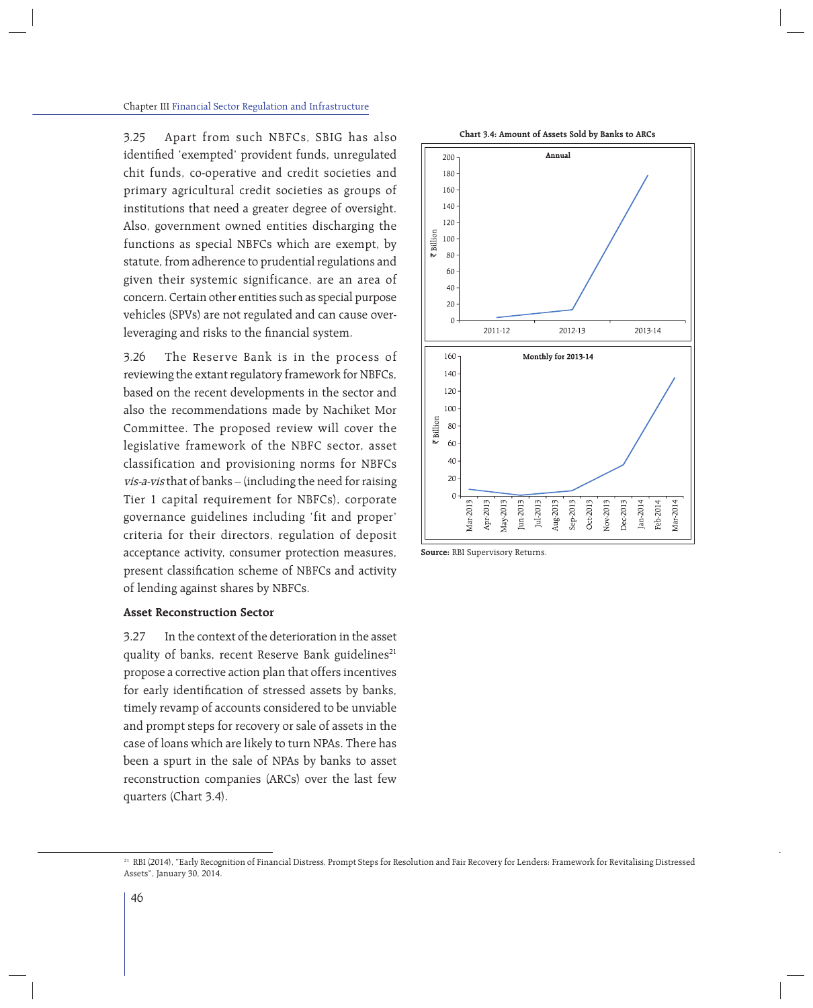3.25 Apart from such NBFCs, SBIG has also identified 'exempted' provident funds, unregulated chit funds, co-operative and credit societies and primary agricultural credit societies as groups of institutions that need a greater degree of oversight. Also, government owned entities discharging the functions as special NBFCs which are exempt, by statute, from adherence to prudential regulations and given their systemic significance, are an area of concern. Certain other entities such as special purpose vehicles (SPVs) are not regulated and can cause overleveraging and risks to the financial system.

3.26 The Reserve Bank is in the process of reviewing the extant regulatory framework for NBFCs, based on the recent developments in the sector and also the recommendations made by Nachiket Mor Committee. The proposed review will cover the legislative framework of the NBFC sector, asset classification and provisioning norms for NBFCs vis-a-vis that of banks – (including the need for raising Tier 1 capital requirement for NBFCs), corporate governance guidelines including 'fit and proper' criteria for their directors, regulation of deposit acceptance activity, consumer protection measures, present classification scheme of NBFCs and activity of lending against shares by NBFCs.

### **Asset Reconstruction Sector**

3.27 In the context of the deterioration in the asset quality of banks, recent Reserve Bank guidelines<sup>21</sup> propose a corrective action plan that offers incentives for early identification of stressed assets by banks, timely revamp of accounts considered to be unviable and prompt steps for recovery or sale of assets in the case of loans which are likely to turn NPAs. There has been a spurt in the sale of NPAs by banks to asset reconstruction companies (ARCs) over the last few quarters (Chart 3.4).



**Source:** RBI Supervisory Returns.

<sup>&</sup>lt;sup>21</sup> RBI (2014), "Early Recognition of Financial Distress, Prompt Steps for Resolution and Fair Recovery for Lenders: Framework for Revitalising Distressed Assets", January 30, 2014.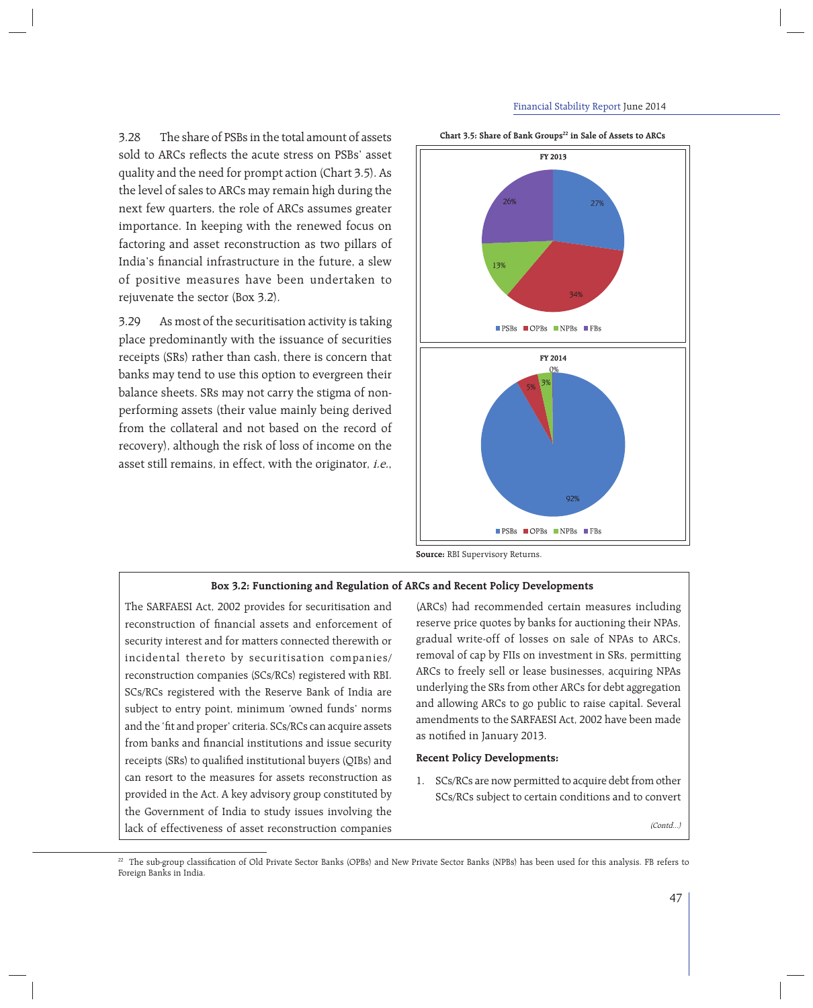#### Financial Stability Report June 2014

3.28 The share of PSBs in the total amount of assets sold to ARCs reflects the acute stress on PSBs' asset quality and the need for prompt action (Chart 3.5). As the level of sales to ARCs may remain high during the next few quarters, the role of ARCs assumes greater importance. In keeping with the renewed focus on factoring and asset reconstruction as two pillars of India's financial infrastructure in the future, a slew of positive measures have been undertaken to rejuvenate the sector (Box 3.2).

3.29 As most of the securitisation activity is taking place predominantly with the issuance of securities receipts (SRs) rather than cash, there is concern that banks may tend to use this option to evergreen their balance sheets. SRs may not carry the stigma of nonperforming assets (their value mainly being derived from the collateral and not based on the record of recovery), although the risk of loss of income on the asset still remains, in effect, with the originator, i.e.,



Chart 3.5: Share of Bank Groups<sup>22</sup> in Sale of Assets to ARCs

**Source:** RBI Supervisory Returns.

#### **Box 3.2: Functioning and Regulation of ARCs and Recent Policy Developments**

The SARFAESI Act, 2002 provides for securitisation and reconstruction of financial assets and enforcement of security interest and for matters connected therewith or incidental thereto by securitisation companies/ reconstruction companies (SCs/RCs) registered with RBI. SCs/RCs registered with the Reserve Bank of India are subject to entry point, minimum 'owned funds' norms and the 'fit and proper' criteria. SCs/RCs can acquire assets from banks and financial institutions and issue security receipts (SRs) to qualified institutional buyers (OIBs) and can resort to the measures for assets reconstruction as provided in the Act. A key advisory group constituted by the Government of India to study issues involving the lack of effectiveness of asset reconstruction companies

(ARCs) had recommended certain measures including reserve price quotes by banks for auctioning their NPAs, gradual write-off of losses on sale of NPAs to ARCs, removal of cap by FIIs on investment in SRs, permitting ARCs to freely sell or lease businesses, acquiring NPAs underlying the SRs from other ARCs for debt aggregation and allowing ARCs to go public to raise capital. Several amendments to the SARFAESI Act, 2002 have been made as notified in January 2013.

#### **Recent Policy Developments:**

1. SCs/RCs are now permitted to acquire debt from other SCs/RCs subject to certain conditions and to convert

(Contd...)

<sup>&</sup>lt;sup>22</sup> The sub-group classification of Old Private Sector Banks (OPBs) and New Private Sector Banks (NPBs) has been used for this analysis. FB refers to Foreign Banks in India.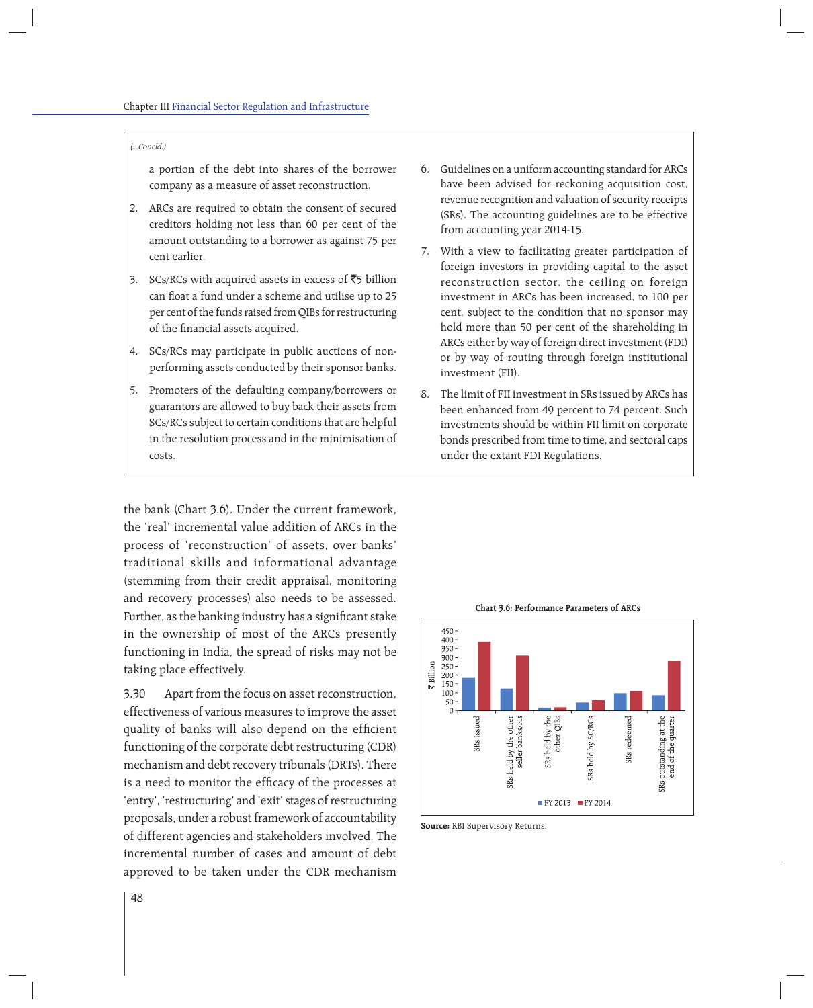#### (...Concld.)

a portion of the debt into shares of the borrower company as a measure of asset reconstruction.

- 2. ARCs are required to obtain the consent of secured creditors holding not less than 60 per cent of the amount outstanding to a borrower as against 75 per cent earlier.
- 3. SCs/RCs with acquired assets in excess of  $\overline{5}$  billion can float a fund under a scheme and utilise up to 25 per cent of the funds raised from QIBs for restructuring of the financial assets acquired.
- 4. SCs/RCs may participate in public auctions of nonperforming assets conducted by their sponsor banks.
- 5. Promoters of the defaulting company/borrowers or guarantors are allowed to buy back their assets from SCs/RCs subject to certain conditions that are helpful in the resolution process and in the minimisation of costs.

the bank (Chart 3.6). Under the current framework, the 'real' incremental value addition of ARCs in the process of 'reconstruction' of assets, over banks' traditional skills and informational advantage (stemming from their credit appraisal, monitoring and recovery processes) also needs to be assessed. Further, as the banking industry has a significant stake in the ownership of most of the ARCs presently functioning in India, the spread of risks may not be taking place effectively.

3.30 Apart from the focus on asset reconstruction, effectiveness of various measures to improve the asset quality of banks will also depend on the efficient functioning of the corporate debt restructuring (CDR) mechanism and debt recovery tribunals (DRTs). There is a need to monitor the efficacy of the processes at 'entry', 'restructuring' and 'exit' stages of restructuring proposals, under a robust framework of accountability of different agencies and stakeholders involved. The incremental number of cases and amount of debt approved to be taken under the CDR mechanism

- 6. Guidelines on a uniform accounting standard for ARCs have been advised for reckoning acquisition cost, revenue recognition and valuation of security receipts (SRs). The accounting guidelines are to be effective from accounting year 2014-15.
- 7. With a view to facilitating greater participation of foreign investors in providing capital to the asset reconstruction sector, the ceiling on foreign investment in ARCs has been increased, to 100 per cent, subject to the condition that no sponsor may hold more than 50 per cent of the shareholding in ARCs either by way of foreign direct investment (FDI) or by way of routing through foreign institutional investment (FII).
- 8. The limit of FII investment in SRs issued by ARCs has been enhanced from 49 percent to 74 percent. Such investments should be within FII limit on corporate bonds prescribed from time to time, and sectoral caps under the extant FDI Regulations.



**Chart 3.6: Performance Parameters of ARCs**

**Source:** RBI Supervisory Returns.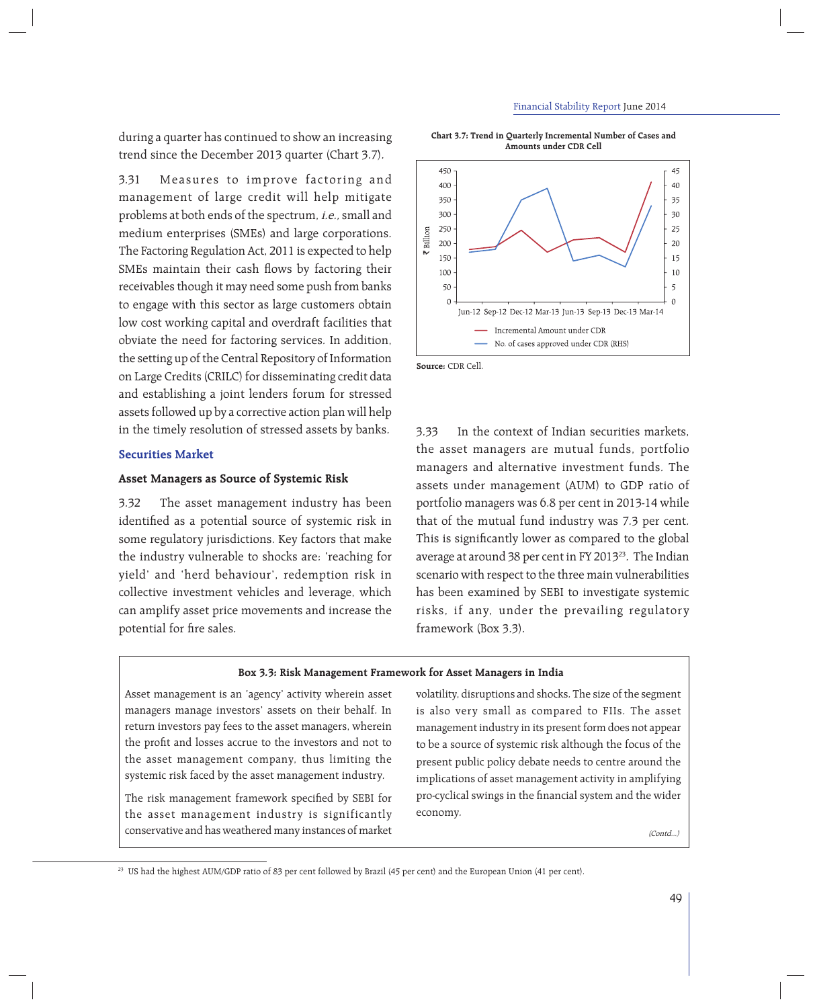during a quarter has continued to show an increasing trend since the December 2013 quarter (Chart 3.7).

3.31 Measures to improve factoring and management of large credit will help mitigate problems at both ends of the spectrum, i.e., small and medium enterprises (SMEs) and large corporations. The Factoring Regulation Act, 2011 is expected to help SMEs maintain their cash flows by factoring their receivables though it may need some push from banks to engage with this sector as large customers obtain low cost working capital and overdraft facilities that obviate the need for factoring services. In addition, the setting up of the Central Repository of Information on Large Credits (CRILC) for disseminating credit data and establishing a joint lenders forum for stressed assets followed up by a corrective action plan will help in the timely resolution of stressed assets by banks.

# **Securities Market**

# **Asset Managers as Source of Systemic Risk**

3.32 The asset management industry has been identified as a potential source of systemic risk in some regulatory jurisdictions. Key factors that make the industry vulnerable to shocks are: 'reaching for yield' and 'herd behaviour', redemption risk in collective investment vehicles and leverage, which can amplify asset price movements and increase the potential for fire sales.

**Chart 3.7: Trend in Quarterly Incremental Number of Cases and Amounts under CDR Cell**



**Source:** CDR Cell.

3.33 In the context of Indian securities markets, the asset managers are mutual funds, portfolio managers and alternative investment funds. The assets under management (AUM) to GDP ratio of portfolio managers was 6.8 per cent in 2013-14 while that of the mutual fund industry was 7.3 per cent. This is significantly lower as compared to the global average at around 38 per cent in FY 2013<sup>23</sup>. The Indian scenario with respect to the three main vulnerabilities has been examined by SEBI to investigate systemic risks, if any, under the prevailing regulatory framework (Box 3.3).

#### **Box 3.3: Risk Management Framework for Asset Managers in India**

Asset management is an 'agency' activity wherein asset managers manage investors' assets on their behalf. In return investors pay fees to the asset managers, wherein the profit and losses accrue to the investors and not to the asset management company, thus limiting the systemic risk faced by the asset management industry.

The risk management framework specified by SEBI for the asset management industry is significantly conservative and has weathered many instances of market

volatility, disruptions and shocks. The size of the segment is also very small as compared to FIIs. The asset management industry in its present form does not appear to be a source of systemic risk although the focus of the present public policy debate needs to centre around the implications of asset management activity in amplifying pro-cyclical swings in the financial system and the wider economy.

(Contd...)

<sup>23</sup> US had the highest AUM/GDP ratio of 83 per cent followed by Brazil (45 per cent) and the European Union (41 per cent).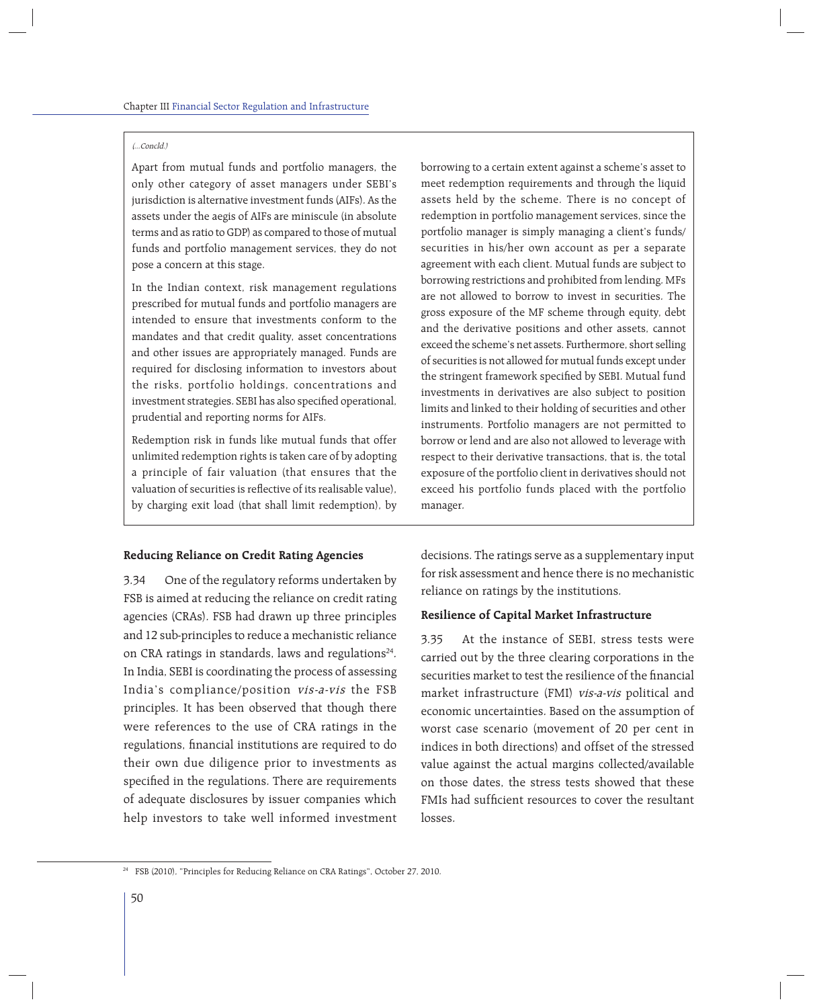#### (...Concld.)

Apart from mutual funds and portfolio managers, the only other category of asset managers under SEBI's jurisdiction is alternative investment funds (AIFs). As the assets under the aegis of AIFs are miniscule (in absolute terms and as ratio to GDP) as compared to those of mutual funds and portfolio management services, they do not pose a concern at this stage.

In the Indian context, risk management regulations prescribed for mutual funds and portfolio managers are intended to ensure that investments conform to the mandates and that credit quality, asset concentrations and other issues are appropriately managed. Funds are required for disclosing information to investors about the risks, portfolio holdings, concentrations and investment strategies. SEBI has also specified operational, prudential and reporting norms for AIFs.

Redemption risk in funds like mutual funds that offer unlimited redemption rights is taken care of by adopting a principle of fair valuation (that ensures that the valuation of securities is reflective of its realisable value). by charging exit load (that shall limit redemption), by

### **Reducing Reliance on Credit Rating Agencies**

3.34 One of the regulatory reforms undertaken by FSB is aimed at reducing the reliance on credit rating agencies (CRAs). FSB had drawn up three principles and 12 sub-principles to reduce a mechanistic reliance on CRA ratings in standards, laws and regulations<sup>24</sup>. In India, SEBI is coordinating the process of assessing India's compliance/position vis-a-vis the FSB principles. It has been observed that though there were references to the use of CRA ratings in the regulations, financial institutions are required to do their own due diligence prior to investments as specified in the regulations. There are requirements of adequate disclosures by issuer companies which help investors to take well informed investment borrowing to a certain extent against a scheme's asset to meet redemption requirements and through the liquid assets held by the scheme. There is no concept of redemption in portfolio management services, since the portfolio manager is simply managing a client's funds/ securities in his/her own account as per a separate agreement with each client. Mutual funds are subject to borrowing restrictions and prohibited from lending. MFs are not allowed to borrow to invest in securities. The gross exposure of the MF scheme through equity, debt and the derivative positions and other assets, cannot exceed the scheme's net assets. Furthermore, short selling of securities is not allowed for mutual funds except under the stringent framework specified by SEBI. Mutual fund investments in derivatives are also subject to position limits and linked to their holding of securities and other instruments. Portfolio managers are not permitted to borrow or lend and are also not allowed to leverage with respect to their derivative transactions, that is, the total exposure of the portfolio client in derivatives should not exceed his portfolio funds placed with the portfolio manager.

decisions. The ratings serve as a supplementary input for risk assessment and hence there is no mechanistic reliance on ratings by the institutions.

## **Resilience of Capital Market Infrastructure**

3.35 At the instance of SEBI, stress tests were carried out by the three clearing corporations in the securities market to test the resilience of the financial market infrastructure (FMI) vis-a-vis political and economic uncertainties. Based on the assumption of worst case scenario (movement of 20 per cent in indices in both directions) and offset of the stressed value against the actual margins collected/available on those dates, the stress tests showed that these FMIs had sufficient resources to cover the resultant losses.

<sup>24</sup> FSB (2010), "Principles for Reducing Reliance on CRA Ratings", October 27, 2010.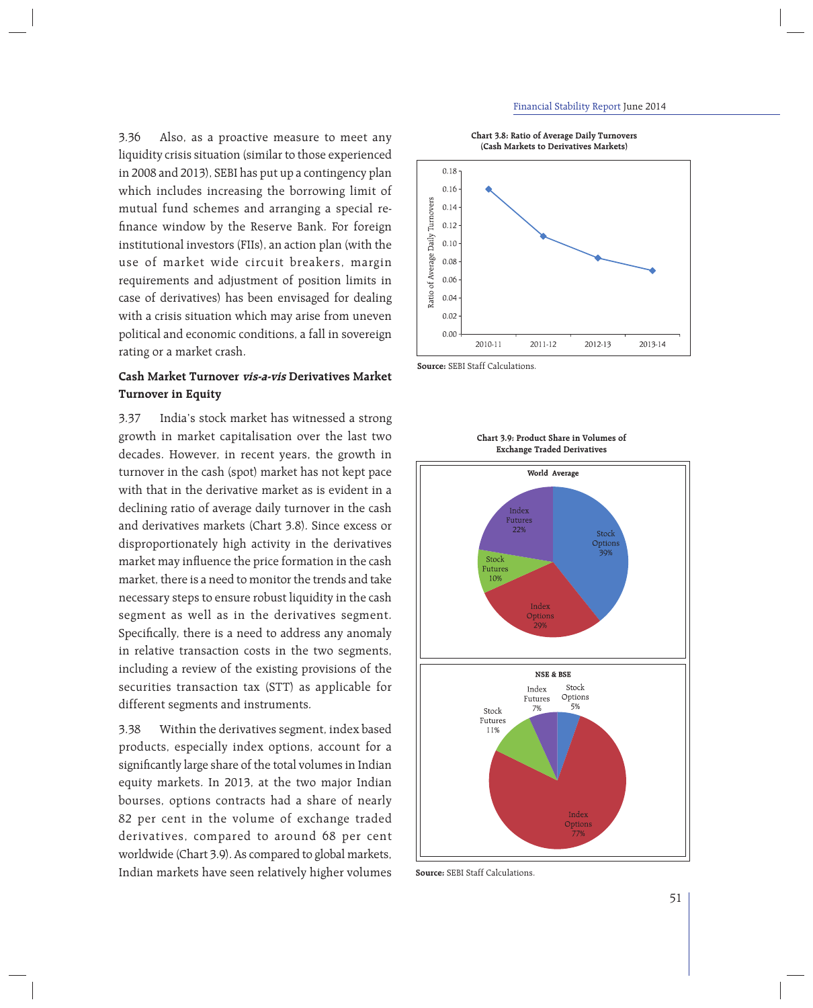3.36 Also, as a proactive measure to meet any liquidity crisis situation (similar to those experienced in 2008 and 2013), SEBI has put up a contingency plan which includes increasing the borrowing limit of mutual fund schemes and arranging a special refinance window by the Reserve Bank. For foreign institutional investors (FIIs), an action plan (with the use of market wide circuit breakers, margin requirements and adjustment of position limits in case of derivatives) has been envisaged for dealing with a crisis situation which may arise from uneven political and economic conditions, a fall in sovereign rating or a market crash.

# **Cash Market Turnover vis-a-vis Derivatives Market Turnover in Equity**

3.37 India's stock market has witnessed a strong growth in market capitalisation over the last two decades. However, in recent years, the growth in turnover in the cash (spot) market has not kept pace with that in the derivative market as is evident in a declining ratio of average daily turnover in the cash and derivatives markets (Chart 3.8). Since excess or disproportionately high activity in the derivatives market may influence the price formation in the cash market, there is a need to monitor the trends and take necessary steps to ensure robust liquidity in the cash segment as well as in the derivatives segment. Specifically, there is a need to address any anomaly in relative transaction costs in the two segments, including a review of the existing provisions of the securities transaction tax (STT) as applicable for different segments and instruments.

3.38 Within the derivatives segment, index based products, especially index options, account for a significantly large share of the total volumes in Indian equity markets. In 2013, at the two major Indian bourses, options contracts had a share of nearly 82 per cent in the volume of exchange traded derivatives, compared to around 68 per cent worldwide (Chart 3.9). As compared to global markets, Indian markets have seen relatively higher volumes





**Source:** SEBI Staff Calculations.



**Chart 3.9: Product Share in Volumes of Exchange Traded Derivatives**

**Source:** SEBI Staff Calculations.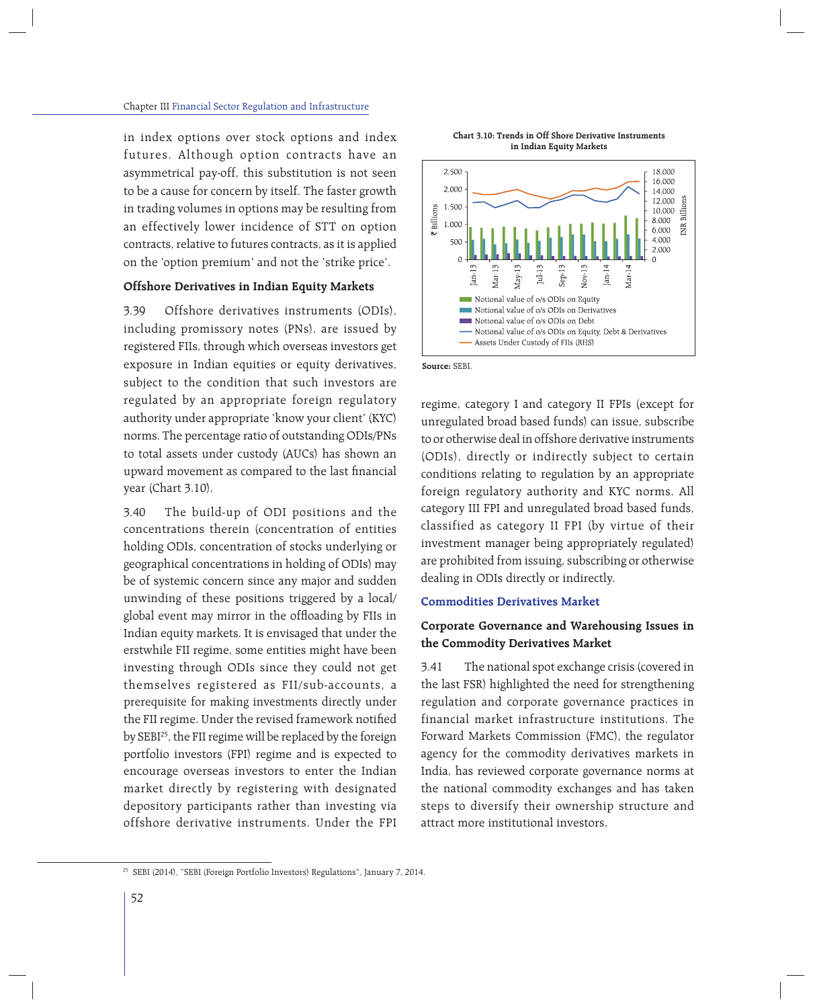in index options over stock options and index futures. Although option contracts have an asymmetrical pay-off, this substitution is not seen to be a cause for concern by itself. The faster growth in trading volumes in options may be resulting from an effectively lower incidence of STT on option contracts, relative to futures contracts, as it is applied on the 'option premium' and not the 'strike price'.

# **Offshore Derivatives in Indian Equity Markets**

3.39 Offshore derivatives instruments (ODIs), including promissory notes (PNs), are issued by registered FIIs, through which overseas investors get exposure in Indian equities or equity derivatives, subject to the condition that such investors are regulated by an appropriate foreign regulatory authority under appropriate 'know your client' (KYC) norms. The percentage ratio of outstanding ODIs/PNs to total assets under custody (AUCs) has shown an upward movement as compared to the last financial year (Chart 3.10).

3.40 The build-up of ODI positions and the concentrations therein (concentration of entities holding ODIs, concentration of stocks underlying or geographical concentrations in holding of ODIs) may be of systemic concern since any major and sudden unwinding of these positions triggered by a local/ global event may mirror in the offloading by FIIs in Indian equity markets. It is envisaged that under the erstwhile FII regime, some entities might have been investing through ODIs since they could not get themselves registered as FII/sub-accounts, a prerequisite for making investments directly under the FII regime. Under the revised framework notified by SEBI<sup>25</sup>, the FII regime will be replaced by the foreign portfolio investors (FPI) regime and is expected to encourage overseas investors to enter the Indian market directly by registering with designated depository participants rather than investing via offshore derivative instruments. Under the FPI

**Chart 3.10: Trends in Off Shore Derivative Instruments in Indian Equity Markets**



**Source:** SEBI.

regime, category I and category II FPIs (except for unregulated broad based funds) can issue, subscribe to or otherwise deal in offshore derivative instruments (ODIs), directly or indirectly subject to certain conditions relating to regulation by an appropriate foreign regulatory authority and KYC norms. All category III FPI and unregulated broad based funds, classified as category II FPI (by virtue of their investment manager being appropriately regulated) are prohibited from issuing, subscribing or otherwise dealing in ODIs directly or indirectly.

### **Commodities Derivatives Market**

# **Corporate Governance and Warehousing Issues in the Commodity Derivatives Market**

3.41 The national spot exchange crisis (covered in the last FSR) highlighted the need for strengthening regulation and corporate governance practices in financial market infrastructure institutions. The Forward Markets Commission (FMC), the regulator agency for the commodity derivatives markets in India, has reviewed corporate governance norms at the national commodity exchanges and has taken steps to diversify their ownership structure and attract more institutional investors.

<sup>25</sup> SEBI (2014), "SEBI (Foreign Portfolio Investors) Regulations", January 7, 2014.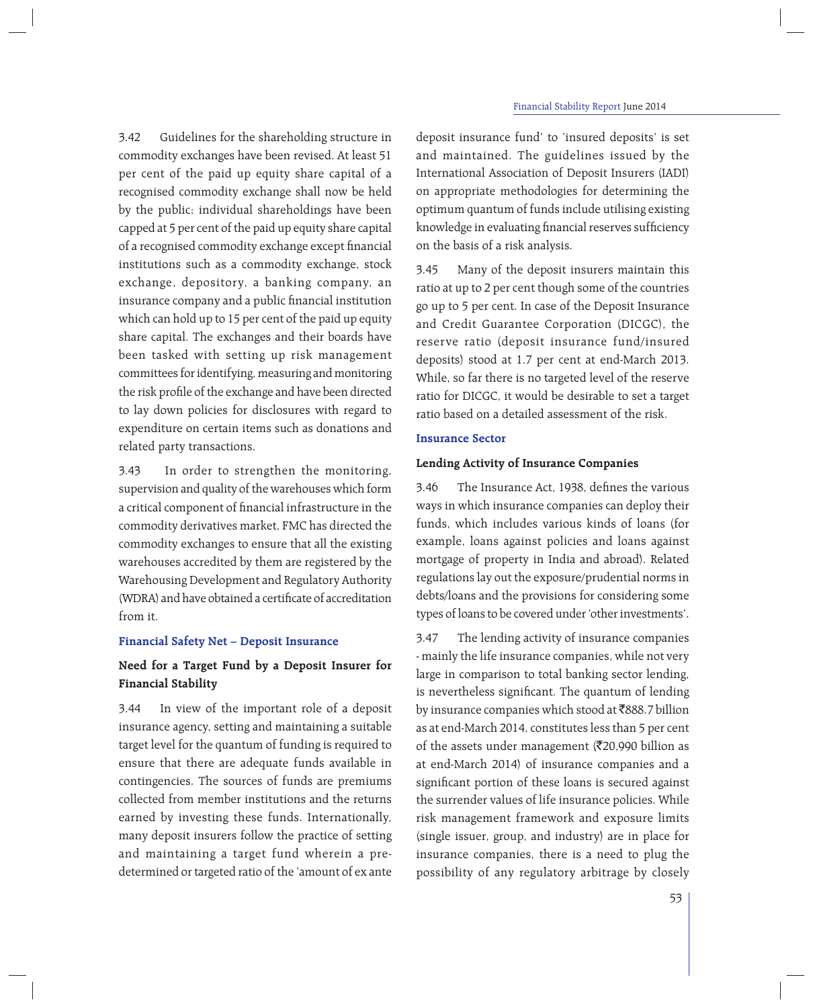3.42 Guidelines for the shareholding structure in commodity exchanges have been revised. At least 51 per cent of the paid up equity share capital of a recognised commodity exchange shall now be held by the public; individual shareholdings have been capped at 5 per cent of the paid up equity share capital of a recognised commodity exchange except financial institutions such as a commodity exchange, stock exchange, depository, a banking company, an insurance company and a public financial institution which can hold up to 15 per cent of the paid up equity share capital. The exchanges and their boards have been tasked with setting up risk management committees for identifying, measuring and monitoring the risk profile of the exchange and have been directed to lay down policies for disclosures with regard to expenditure on certain items such as donations and related party transactions.

3.43 In order to strengthen the monitoring, supervision and quality of the warehouses which form a critical component of financial infrastructure in the commodity derivatives market, FMC has directed the commodity exchanges to ensure that all the existing warehouses accredited by them are registered by the Warehousing Development and Regulatory Authority (WDRA) and have obtained a certificate of accreditation from it.

# **Financial Safety Net – Deposit Insurance**

# **Need for a Target Fund by a Deposit Insurer for Financial Stability**

3.44 In view of the important role of a deposit insurance agency, setting and maintaining a suitable target level for the quantum of funding is required to ensure that there are adequate funds available in contingencies. The sources of funds are premiums collected from member institutions and the returns earned by investing these funds. Internationally, many deposit insurers follow the practice of setting and maintaining a target fund wherein a predetermined or targeted ratio of the 'amount of ex ante

deposit insurance fund' to 'insured deposits' is set and maintained. The guidelines issued by the International Association of Deposit Insurers (IADI) on appropriate methodologies for determining the optimum quantum of funds include utilising existing knowledge in evaluating financial reserves sufficiency on the basis of a risk analysis.

3.45 Many of the deposit insurers maintain this ratio at up to 2 per cent though some of the countries go up to 5 per cent. In case of the Deposit Insurance and Credit Guarantee Corporation (DICGC), the reserve ratio (deposit insurance fund/insured deposits) stood at 1.7 per cent at end-March 2013. While, so far there is no targeted level of the reserve ratio for DICGC, it would be desirable to set a target ratio based on a detailed assessment of the risk.

# **Insurance Sector**

# **Lending Activity of Insurance Companies**

3.46 The Insurance Act, 1938, defines the various ways in which insurance companies can deploy their funds, which includes various kinds of loans (for example, loans against policies and loans against mortgage of property in India and abroad). Related regulations lay out the exposure/prudential norms in debts/loans and the provisions for considering some types of loans to be covered under 'other investments'.

3.47 The lending activity of insurance companies - mainly the life insurance companies, while not very large in comparison to total banking sector lending, is nevertheless significant. The quantum of lending by insurance companies which stood at ₹888.7 billion as at end-March 2014, constitutes less than 5 per cent of the assets under management ( $\overline{\mathfrak{Z}}$ 20,990 billion as at end-March 2014) of insurance companies and a significant portion of these loans is secured against the surrender values of life insurance policies. While risk management framework and exposure limits (single issuer, group, and industry) are in place for insurance companies, there is a need to plug the possibility of any regulatory arbitrage by closely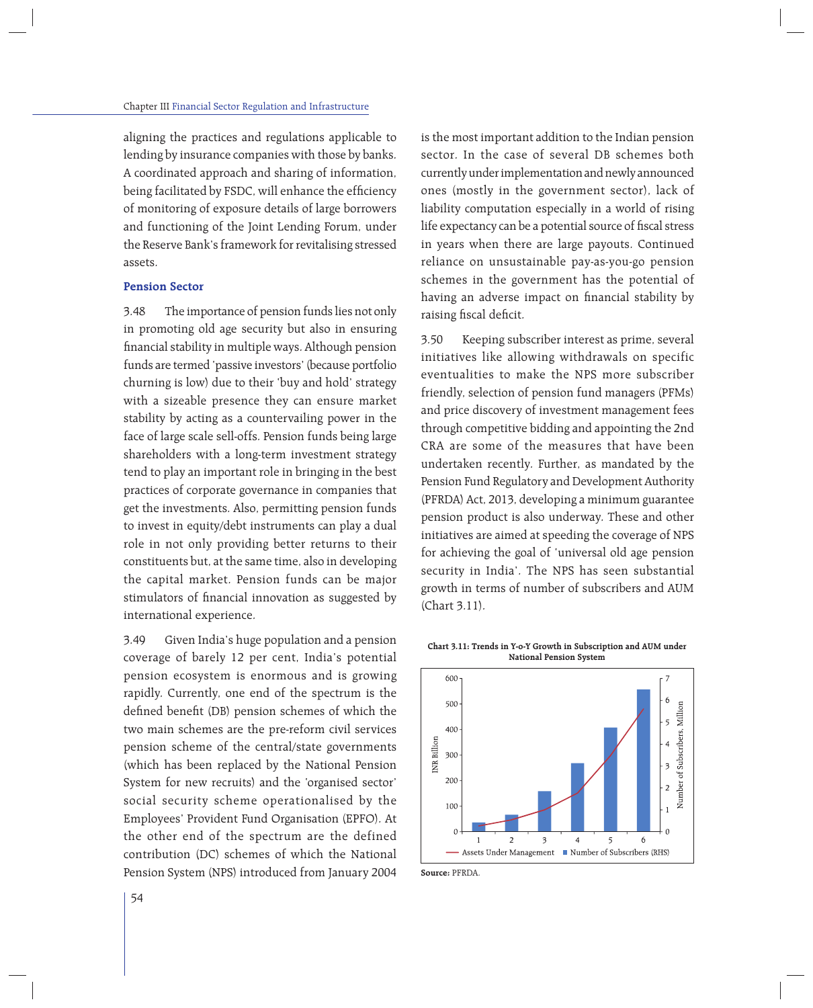aligning the practices and regulations applicable to lending by insurance companies with those by banks. A coordinated approach and sharing of information, being facilitated by FSDC, will enhance the efficiency of monitoring of exposure details of large borrowers and functioning of the Joint Lending Forum, under the Reserve Bank's framework for revitalising stressed assets.

# **Pension Sector**

3.48 The importance of pension funds lies not only in promoting old age security but also in ensuring financial stability in multiple ways. Although pension funds are termed 'passive investors' (because portfolio churning is low) due to their 'buy and hold' strategy with a sizeable presence they can ensure market stability by acting as a countervailing power in the face of large scale sell-offs. Pension funds being large shareholders with a long-term investment strategy tend to play an important role in bringing in the best practices of corporate governance in companies that get the investments. Also, permitting pension funds to invest in equity/debt instruments can play a dual role in not only providing better returns to their constituents but, at the same time, also in developing the capital market. Pension funds can be major stimulators of financial innovation as suggested by international experience.

3.49 Given India's huge population and a pension coverage of barely 12 per cent, India's potential pension ecosystem is enormous and is growing rapidly. Currently, one end of the spectrum is the defined benefit (DB) pension schemes of which the two main schemes are the pre-reform civil services pension scheme of the central/state governments (which has been replaced by the National Pension System for new recruits) and the 'organised sector' social security scheme operationalised by the Employees' Provident Fund Organisation (EPFO). At the other end of the spectrum are the defined contribution (DC) schemes of which the National Pension System (NPS) introduced from January 2004 is the most important addition to the Indian pension sector. In the case of several DB schemes both currently under implementation and newly announced ones (mostly in the government sector), lack of liability computation especially in a world of rising life expectancy can be a potential source of fiscal stress in years when there are large payouts. Continued reliance on unsustainable pay-as-you-go pension schemes in the government has the potential of having an adverse impact on financial stability by raising fiscal deficit.

3.50 Keeping subscriber interest as prime, several initiatives like allowing withdrawals on specific eventualities to make the NPS more subscriber friendly, selection of pension fund managers (PFMs) and price discovery of investment management fees through competitive bidding and appointing the 2nd CRA are some of the measures that have been undertaken recently. Further, as mandated by the Pension Fund Regulatory and Development Authority (PFRDA) Act, 2013, developing a minimum guarantee pension product is also underway. These and other initiatives are aimed at speeding the coverage of NPS for achieving the goal of 'universal old age pension security in India'. The NPS has seen substantial growth in terms of number of subscribers and AUM (Chart 3.11).



**Source:** PFRDA.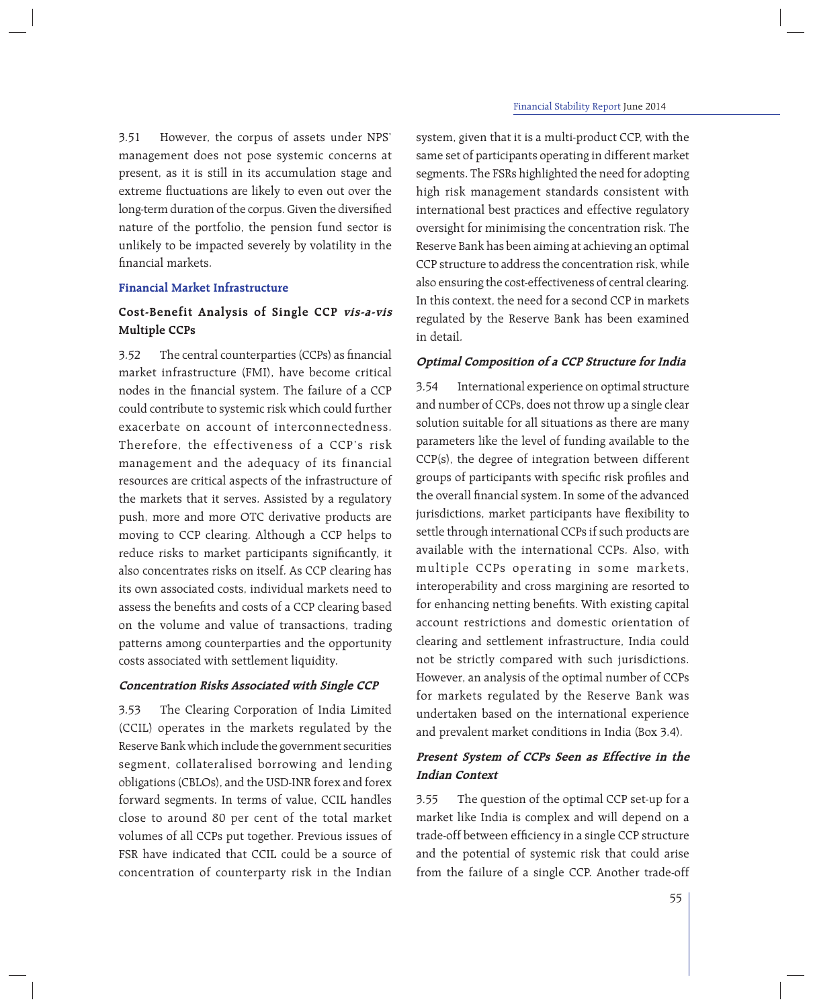3.51 However, the corpus of assets under NPS' management does not pose systemic concerns at present, as it is still in its accumulation stage and extreme fluctuations are likely to even out over the long-term duration of the corpus. Given the diversified nature of the portfolio, the pension fund sector is unlikely to be impacted severely by volatility in the financial markets.

# **Financial Market Infrastructure**

# **Cost-Benefit Analysis of Single CCP vis-a-vis Multiple CCPs**

3.52 The central counterparties (CCPs) as financial market infrastructure (FMI), have become critical nodes in the financial system. The failure of a CCP could contribute to systemic risk which could further exacerbate on account of interconnectedness. Therefore, the effectiveness of a CCP's risk management and the adequacy of its financial resources are critical aspects of the infrastructure of the markets that it serves. Assisted by a regulatory push, more and more OTC derivative products are moving to CCP clearing. Although a CCP helps to reduce risks to market participants significantly, it also concentrates risks on itself. As CCP clearing has its own associated costs, individual markets need to assess the benefits and costs of a CCP clearing based on the volume and value of transactions, trading patterns among counterparties and the opportunity costs associated with settlement liquidity.

### **Concentration Risks Associated with Single CCP**

3.53 The Clearing Corporation of India Limited (CCIL) operates in the markets regulated by the Reserve Bank which include the government securities segment, collateralised borrowing and lending obligations (CBLOs), and the USD-INR forex and forex forward segments. In terms of value, CCIL handles close to around 80 per cent of the total market volumes of all CCPs put together. Previous issues of FSR have indicated that CCIL could be a source of concentration of counterparty risk in the Indian

system, given that it is a multi-product CCP, with the same set of participants operating in different market segments. The FSRs highlighted the need for adopting high risk management standards consistent with international best practices and effective regulatory oversight for minimising the concentration risk. The Reserve Bank has been aiming at achieving an optimal CCP structure to address the concentration risk, while also ensuring the cost-effectiveness of central clearing. In this context, the need for a second CCP in markets regulated by the Reserve Bank has been examined in detail.

# **Optimal Composition of a CCP Structure for India**

3.54 International experience on optimal structure and number of CCPs, does not throw up a single clear solution suitable for all situations as there are many parameters like the level of funding available to the CCP(s), the degree of integration between different groups of participants with specific risk profiles and the overall financial system. In some of the advanced jurisdictions, market participants have flexibility to settle through international CCPs if such products are available with the international CCPs. Also, with multiple CCPs operating in some markets, interoperability and cross margining are resorted to for enhancing netting benefits. With existing capital account restrictions and domestic orientation of clearing and settlement infrastructure, India could not be strictly compared with such jurisdictions. However, an analysis of the optimal number of CCPs for markets regulated by the Reserve Bank was undertaken based on the international experience and prevalent market conditions in India (Box 3.4).

# **Present System of CCPs Seen as Effective in the Indian Context**

3.55 The question of the optimal CCP set-up for a market like India is complex and will depend on a trade-off between efficiency in a single CCP structure and the potential of systemic risk that could arise from the failure of a single CCP. Another trade-off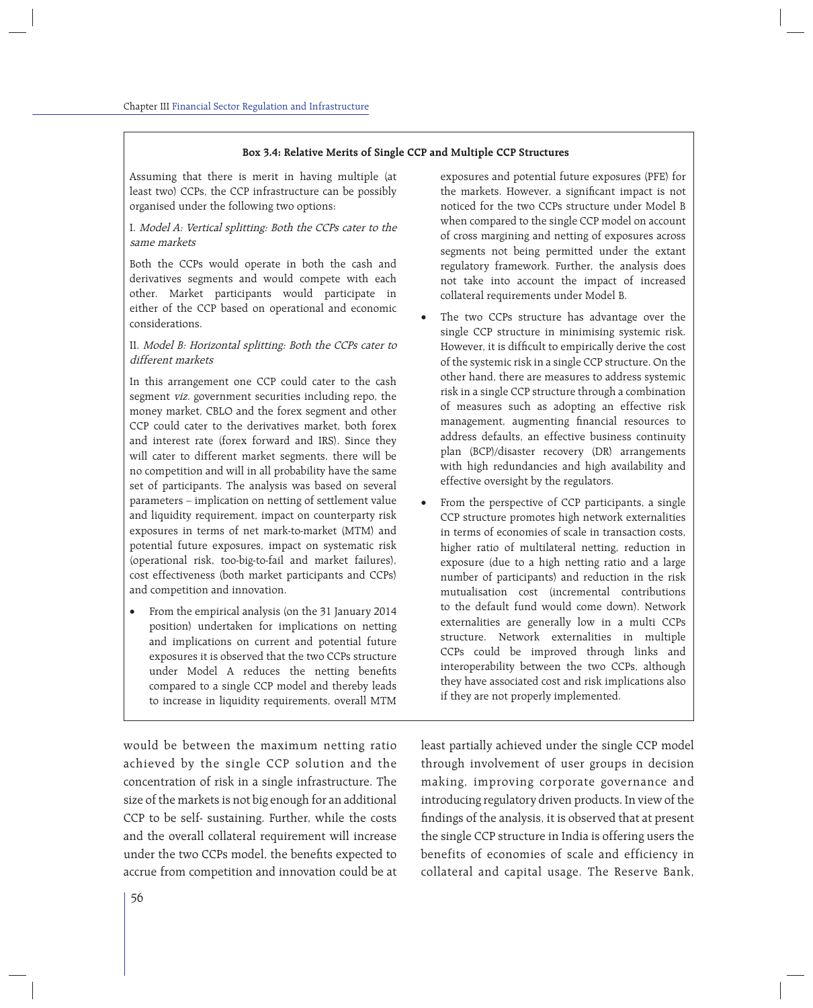#### **Box 3.4: Relative Merits of Single CCP and Multiple CCP Structures**

Assuming that there is merit in having multiple (at least two) CCPs, the CCP infrastructure can be possibly organised under the following two options:

# I. Model A: Vertical splitting: Both the CCPs cater to the same markets

Both the CCPs would operate in both the cash and derivatives segments and would compete with each other. Market participants would participate in either of the CCP based on operational and economic considerations.

## II. Model B: Horizontal splitting: Both the CCPs cater to different markets

In this arrangement one CCP could cater to the cash segment viz. government securities including repo, the money market, CBLO and the forex segment and other CCP could cater to the derivatives market, both forex and interest rate (forex forward and IRS). Since they will cater to different market segments, there will be no competition and will in all probability have the same set of participants. The analysis was based on several parameters – implication on netting of settlement value and liquidity requirement, impact on counterparty risk exposures in terms of net mark-to-market (MTM) and potential future exposures, impact on systematic risk (operational risk, too-big-to-fail and market failures), cost effectiveness (both market participants and CCPs) and competition and innovation.

 From the empirical analysis (on the 31 January 2014 position) undertaken for implications on netting and implications on current and potential future exposures it is observed that the two CCPs structure under Model A reduces the netting benefits compared to a single CCP model and thereby leads to increase in liquidity requirements, overall MTM

would be between the maximum netting ratio achieved by the single CCP solution and the concentration of risk in a single infrastructure. The size of the markets is not big enough for an additional CCP to be self- sustaining. Further, while the costs and the overall collateral requirement will increase under the two CCPs model, the benefits expected to accrue from competition and innovation could be at

exposures and potential future exposures (PFE) for the markets. However, a significant impact is not noticed for the two CCPs structure under Model B when compared to the single CCP model on account of cross margining and netting of exposures across segments not being permitted under the extant regulatory framework. Further, the analysis does not take into account the impact of increased collateral requirements under Model B.

- The two CCPs structure has advantage over the single CCP structure in minimising systemic risk. However, it is difficult to empirically derive the cost of the systemic risk in a single CCP structure. On the other hand, there are measures to address systemic risk in a single CCP structure through a combination of measures such as adopting an effective risk management, augmenting financial resources to address defaults, an effective business continuity plan (BCP)/disaster recovery (DR) arrangements with high redundancies and high availability and effective oversight by the regulators.
- From the perspective of CCP participants, a single CCP structure promotes high network externalities in terms of economies of scale in transaction costs, higher ratio of multilateral netting, reduction in exposure (due to a high netting ratio and a large number of participants) and reduction in the risk mutualisation cost (incremental contributions to the default fund would come down). Network externalities are generally low in a multi CCPs structure. Network externalities in multiple CCPs could be improved through links and interoperability between the two CCPs, although they have associated cost and risk implications also if they are not properly implemented.

least partially achieved under the single CCP model through involvement of user groups in decision making, improving corporate governance and introducing regulatory driven products. In view of the findings of the analysis, it is observed that at present the single CCP structure in India is offering users the benefits of economies of scale and efficiency in collateral and capital usage. The Reserve Bank,